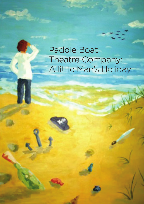# Paddle Boat Theatre Company: A little Man's Holiday

**enjoy working in a team but I'm equally capable as a self** 

**initiator, creative thinker, problem solver and doer.**

My name is Pete Norris.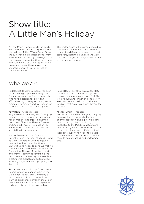# Show title: A Little Man's Holiday

A Little Man's Holiday retells the much loved children's picture story-book 'The Man Whose Mother Was a Pirate'. Taking the audience on a magical journey from The Little Man's dull city dwellings to the high seas on a swashbuckling adventure. Through the use of puppetry, music and mime, we present these larger-thanlife characters and invite you into an enchanted world.

The performance will be accompanied by a workshop with the audience, so they can tell the diference between port and starboard, hoist the main sails and walk the plank in style…and maybe learn some literacy along the way.

### Who We Are

PaddleBoat Theatre Company has been formed by a group of soon-to-graduate Drama students from Exeter University who have a passion for providing affordable, high quality and imaginative drama performances and workshops for schools in the local area and beyond.

#### Katy Dash - Artistic Director

Katy Dash is in her final year of studying drama at Exeter University. Throughout her degree she has enjoyed studying Lecoq and Clowning, Physical Theatre and Applied Theatre. Her passion lies in children's theatre and the power of storytelling in performance.

Harriet Brown – Musical Director Harriet is in her final year studying Drama at Exeter University. She has enjoyed performing throughout her time at University, and hopes to continue making community and children's theatre beyond Graduation. The use of theatre to enrich and prompt learning is something she is passionate about. Her key interests lie in creating interdisciplinary performance; including physical theatre, puppetry and live music.

Rachel Norris – Workshop Co-ordinator Rachel, who is also about to finish her Drama degree at Exeter University, is passionate about providing exciting learning experiences, through the use of drama techniques, to spark imagination and creativity in children. As well as

PaddleBoat, Rachel works as a facilitator for 'DoorStep Arts' in the Torbay area, running drama groups for ages 7-13. This is new adventure for her, and she is very keen to create workshops of value and integrity, that explore relevant themes for children.

#### Michael Smith – Producer

Michael Smith is in his final year, studying drama at Exeter University. Michael enjoys adaptation, and exploring means of story telling. His comic timing is invaluable to the PaddleBoat team and he is an imaginative performer. His ability to bring to characters to life is a natural instinctive quality; he hopes to be able to share this with audiences and inspire them to explore acting and performing also.

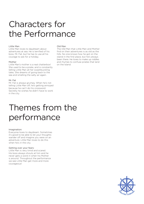# Characters for the Performance

#### Little Man

Little Man loves to daydream about adventures at sea. He is terrified of his boss, Mr. Fat, but he has to use all his courage to ask for a holiday.

#### Mother

Little Man's mother is a real chatterbox! She used to be a pirate, and is constantly telling Little Man all her swashbuckling tales. She dreams of going back to the sea and smelling the salty air again.

#### Mr. Fat

Mr. Fat is always grumpy. When he's not telling Little Man off, he's getting annoyed because he can't do his crossword. Secretly he wishes he didn't have to work in the city.

#### Old Man

The Old Man that Little Man and Mother find on their adventures is as old as the hills. No one knows how he got on the island in the first place, but he's always been there. He loves to make up riddles and rhymes to confuse pirates that land on the Island.

## Themes from the performance

#### Imagination:

Everyone loves to daydream. Sometimes it's good to be able to let your thoughts wander off and imagine you were on an adventure. Little Man loves to do this when he's in the city.

#### Getting over your fears:

Little Man is very timid and scared. His boss always shouts at him and he never gets a word in when his Mother is around. Throughout the performance we see Little Man get more and more courageous!

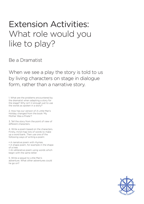## Extension Activities: What role would you like to play?

Be a Dramatist

When we see a play the story is told to us by living characters on stage in dialogue form, rather than a narrative story.

1. What are the problems encountered by the dramatist when adapting a story for the stage? Why isn't it enough just to use the words as spoken in a story?

2. How has our version of A Little Man's Holiday changed from the book 'My Mother Was a Pirate'?

3. Tell the story from the point of view of diferent characters.

4. Write a poem based on the characters. Firstly, mind-map lots of words to make up a word bank. Then use one of the following ways of writing a poem:

• A narrative poem with rhymes. • A shape poem, for example in the shape of a tree.

• An alliterative poem using words which begin with the same letter.

5. Write a sequel to Little Man's adventure. What other adventures could he go on?

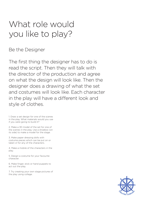# What role would you like to play?

Be the Designer

The first thing the designer has to do is read the script. Then they will talk with the director of the production and agree on what the design will look like. Then the designer does a drawing of what the set and costumes will look like. Each character in the play will have a diferent look and style of clothes.

1. Draw a set design for one of the scenes in the play. What materials would you use if you were going to build it?

2. Make a 3D model of the set for one of the scenes in the play. Use a shoebox (on its side) to make a model for the stage.

3. Make paper dressing dolls with costume pieces which can be put on or taken o! for any of the characters.

4. Make a mobile of the characters in the play.

5. Design a costume for your favourite character.

6. Make finger, stick or hand puppets to act out the play.

7. Try creating your own stage pictures of the play using collage.

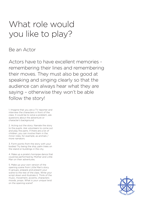# What role would you like to play?

Be an Actor

Actors have to have excellent memories remembering their lines and remembering their moves. They must also be good at speaking and singing clearly so that the audience can always hear what they are saying – otherwise they won't be able follow the story!

1. Imagine that you are a TV reporter and interview the characters in front of the class. It could be to solve a problem, ask questions about the adventure or character's background.

2. Acting out the story: Narrate the story to the pupils. Ask volunteers to come out and play the parts. If there are a lot of children, you can involve them in the minor roles, for example, as animals / more narrators.

3. Form points from the story with your bodies! Try being the ship, palm trees on the island or buildings in the city.

4. Make up a pirate's hornpipe dance that could be performed by Mother and Little Man on their adventures.

5. Make up your own version of the opening scene from Little Man's story. In groups, prepare and present your scene to the rest of the class. Write your script down and illustrate it. Think of the music, movement, accents, characters moods, props. What is your unique twist on the opening scene?

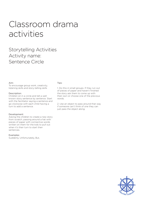### Storytelling Activities Activity name: Sentence Circle

#### Aim:

To encourage group work, creativity, listening skills and story-telling skills

#### Description:

Children sit in a circle and tell a well known story sentence by sentence. Start with the facilitator saying a sentence and go clockwise with each child having a turn to add a sentence.

#### Development:

Asking the children to create a new story from scratch, passing around a hat with pieces of paper with connective words written on them for the kids to pull out when it's their turn to start their sentences.

#### Examples:

Suddenly, Unfortunately, But,

#### Tips:

1. Do this in small groups. If they run out of pieces of paper and haven't finished the story ask them to come up with their own or choose one of the previous words.

2. Use an object to pass around that way if someone can't think of one they can just pass the object along.

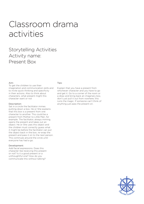### Storytelling Activities Activity name: Present Box

#### Aim:

To get the children to use their imagination and communication skills and to invite quick thinking and specificity in their actions. Also to think about characters, what present might this character want or not

#### Description:

Sat in a circle the facilitator mimes putting down a box. He or She explains that this box is a present from one character to another. This could be a present from Mother to Little Man, for example. The facilitator, always miming, opens the present and takes out an object. He or She uses this object and the children must correctly guess what it might be before the facilitator can put the object back in the box, re-wrap the present and pass it on to the next person. This continues around the circle until everyone has had a go.

#### Development:

Add facial expressions. Does this character like receiving this present or not? Is it a good present or a unthoughtful one? How do you communicate this without talking?

#### Tips:

Explain that you have a present from whichever character and you have to go and get it. Go to a corner of the room or a draw and bring back an imaginary box, don't just pull it out from nowhere; this ruins the magic. If someone can't think of anything just pass the present on.

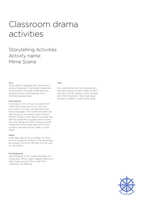### Storytelling Activities Activity name: Mime Scene

#### Aim:

To be able to highlight key moments in a story structure. To embody characters and emotions through understanding situations and circumstances from multiple perspectives.

#### Description:

In groups of 3-5, choose a scene From Little Man's story and try to act this out using no words, just gestures and body language. (The scene shouldn't be very long just a moment from a story). Perform these to the rest of the class and ask the observers to guess which scene they are doing and who is playing which character? How could they tell? If they couldn't tell what would make it more clear?

#### Ideas:

Little Man asking for a holiday. Mr. Fat's hunt for treasure. Mother's first adventure as a pirate. How the Old Man first arrived on the island.

#### Development:

Add dialogue to the scene between the characters. What might happen before or after these scenes? How might the characters be feeling?

#### Tips:

You could either set the fairytale and ask each group to individually chose a moment or the children could secretly pick their fairytale in their individual groups to make it more challenging.

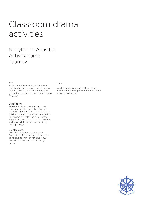### Storytelling Activities Activity name: Journey

#### Aim:

To help the children understand the complexities in the story that they can then explain in their story writing. To guide the children through the structure of a story.

#### Description:

Retell the story Little Man or A well known fairy-tale whilst the children are walking around the space. Ask the children to act out what you are saying. For example, 'Little Man and Mother waded through cold rivers' the children walk around the space as if wading through water.

#### Development:

Add in choices for the character. Does Little Man pluck up the courage to go and ask Mr. Fat for a holiday? We want to see this choice being made.

#### Tips:

Add in adjectives to give the children more a more vivid picture of what action they should mime.

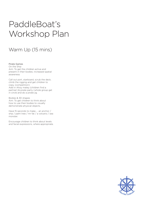# PaddleBoat's Workshop Plan

### Warm Up (15 mins)

Pirate Games On the Ship Aim: To get the children active and present in their bodies; increased spatial awareness

Call out port, starboard, scrub the deck, climb the rigging and get children to copy. (competition) Add in Ahoy matey (children find a partner) & pirate party (whole group get in circle and do a pirate jig.

Bodies & 3D shapes Aim: To get children to think about how to use their bodies to visually demonstrate physical objects.

Have 15 seconds to make….. an anchor / ship / palm tree / mr fat / a volcano / sea monster.

Encourage children to think about levels and facial expressions, where appropriate.

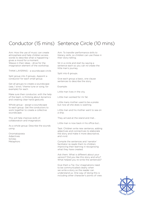## Conductor (15 mins) Sentence Circle (10 mins)

Aim: How the use of music can create atmosphere and help children access words to describe what is happening gives a mood for a moment. Weave in their ideas - drive for the imagination element of the workshop.

THINK LAYERING - a soundscape circle.

Split group into 3 groups. Appoint a conductor for each small group.

Get all groups to create a soundscape (sea / wind / theme tune or song, for example) for each.

Make sure their conductor, with the help of the team, is thinking about dynamics and creating clear hand gestures.

Whole group - assign a soundscape to each group. Get the conductors to work together to create a collective soundscape.

This will help improve skills of collaboration and imagination.

As a whole group: Describe the sounds using:

Onomatopoeia Adjectives Similes Metaphors

Aim: To transfer performance skills to literacy skills, so children can use these in their story-telling.

Sit in a circle and start by saying a sentence each so you can re-create the little man's journey.

Split into 6 groups.

Give each group a basic, one clause sentences to describe the story

Example:

Little man lives in the city.

Little man worked for mr fat.

Little mans mother used to be a pirate but now all she does is washing.

Little man and his mother went to sea on a ship.

They arrived at the island and met...

Little man is now back in his office but...

Task: Children write new sentence, adding adjectives and connectives to elaborate the story and make it more descriptive, and vivid.

Compile the sentences and 'narrator' facilitator re-reads them to children; improving their learning in recognising what they have created.

Ask them: What is diferent about your version? Did you like this story and why? What helped you re-write the sentences?

Give them a Tip: Our imaginations need to be communicated clearly when we write a story so the reader can understand us. One way of doing this is including other character's points of view.

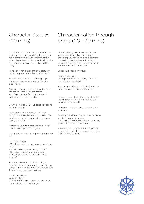## Character Statues (20 mins)

Give them a Tip: It is important that we don't just think about our little man, our main character, but we remember the other characters too in order to show the emotions they might be feeling in the story.

Have you ever played musical statues? What happens when the music stops?

The aim is to guess the other groups' character perspective statue they are presenting.

Give each group a sentence which sets the scene for their freeze frame. e.g. Everyday mr fat, little man and mother do the same tasks.

Count down from 10 - Children react and form the image.

Each group read out your sentence before you show back your images. But don't tell us who's perspective you are trying to show!

Audience have to guess which point of view the group is embodying.

Ask the other groups step out and reflect on:

- Who are they?

- What are they feeling; how do we know this?

- What is about; what tells you this? - Can you think of any adjective / onomatopoeia etc to describe their bodies?

Summary: We can see from using our bodies, that we can create images when we can find strong adjectives to describe. This will help our story writing.

2 stars and Wish: What worked? Give example here - Anything you wish you could add to the image?

### Characterisation through props (20 - 30 mins)

Aim: Exploring how they can create a character from objects through group improvisation and colloboration. Increasing imagination but taking it beyond the context of the performance and creating a 3d character.

Choose 2 props per group.

Characterisation - Using props from the story, ask: what significance they held.

Encourage children to think about how they can use the props diferently.

Task: Create a character to meet on the island that can help them to find the treasure, for example.

Diferent characters than the ones we have seen.

Create a 'moving clip' using the props to create this new character. Think about how the character uses the prop to find the treasure map.

Show back to your team for feedback on what they could improve before they show to whole group